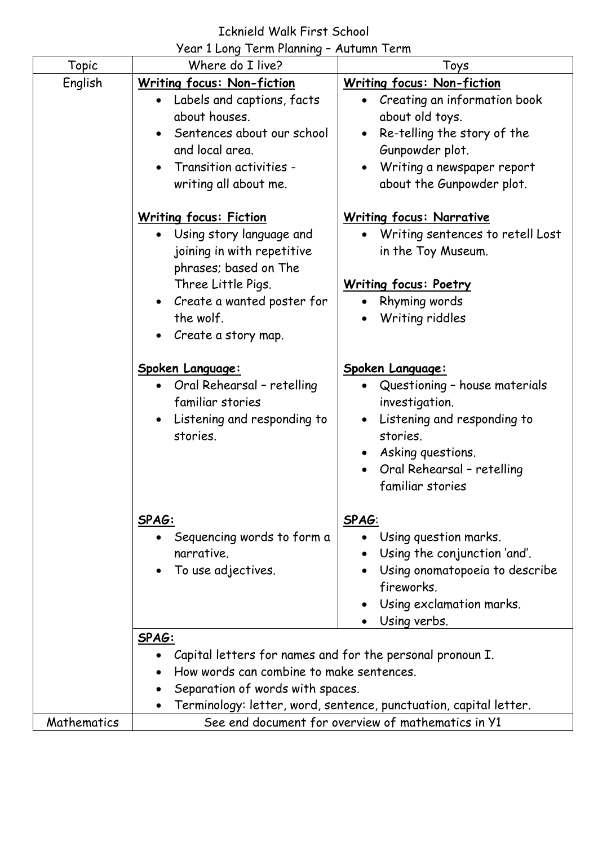### Icknield Walk First School

Year 1 Long Term Planning – Autumn Term

| Topic       | Where do I live?                                          | Toys                                                              |
|-------------|-----------------------------------------------------------|-------------------------------------------------------------------|
| English     | <b>Writing focus: Non-fiction</b>                         | <b>Writing focus: Non-fiction</b>                                 |
|             | • Labels and captions, facts                              | • Creating an information book                                    |
|             | about houses.                                             | about old toys.                                                   |
|             | Sentences about our school                                | Re-telling the story of the                                       |
|             | and local area.                                           | Gunpowder plot.                                                   |
|             | Transition activities -<br>$\bullet$                      | Writing a newspaper report                                        |
|             | writing all about me.                                     | about the Gunpowder plot.                                         |
|             | <b>Writing focus: Fiction</b>                             | <b>Writing focus: Narrative</b>                                   |
|             | Using story language and                                  | Writing sentences to retell Lost                                  |
|             | joining in with repetitive                                | in the Toy Museum.                                                |
|             | phrases; based on The                                     |                                                                   |
|             | Three Little Pigs.                                        | <b>Writing focus: Poetry</b>                                      |
|             | Create a wanted poster for                                | Rhyming words                                                     |
|             | the wolf.                                                 | Writing riddles                                                   |
|             | Create a story map.<br>$\bullet$                          |                                                                   |
|             | Spoken Language:                                          | Spoken Language:                                                  |
|             | Oral Rehearsal - retelling                                | Questioning - house materials                                     |
|             | familiar stories                                          | investigation.                                                    |
|             | • Listening and responding to                             | Listening and responding to                                       |
|             | stories.                                                  | stories.                                                          |
|             |                                                           | Asking questions.                                                 |
|             |                                                           | Oral Rehearsal - retelling                                        |
|             |                                                           | familiar stories                                                  |
|             | SPAG:                                                     | SPAG:                                                             |
|             | Sequencing words to form a                                | Using question marks.                                             |
|             | narrative.                                                | Using the conjunction 'and'.                                      |
|             | To use adjectives.<br>$\bullet$                           | Using onomatopoeia to describe                                    |
|             |                                                           | fireworks.                                                        |
|             |                                                           | Using exclamation marks.                                          |
|             |                                                           | Using verbs.                                                      |
|             | SPAG:                                                     |                                                                   |
|             | Capital letters for names and for the personal pronoun I. |                                                                   |
|             | How words can combine to make sentences.                  |                                                                   |
|             | Separation of words with spaces.                          |                                                                   |
|             |                                                           | Terminology: letter, word, sentence, punctuation, capital letter. |
| Mathematics |                                                           | See end document for overview of mathematics in Y1                |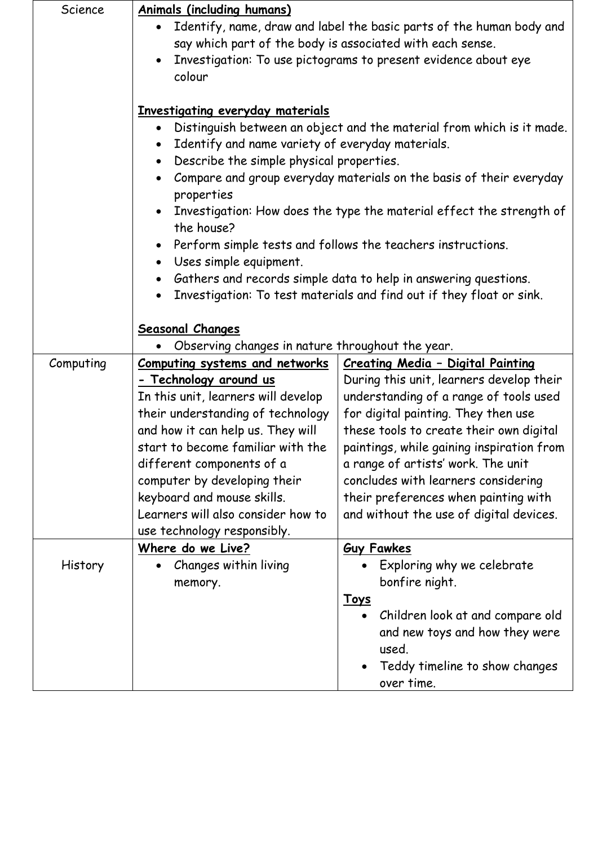| Science   | <b>Animals (including humans)</b>                                           |                                                                       |
|-----------|-----------------------------------------------------------------------------|-----------------------------------------------------------------------|
|           | Identify, name, draw and label the basic parts of the human body and        |                                                                       |
|           | say which part of the body is associated with each sense.                   |                                                                       |
|           | Investigation: To use pictograms to present evidence about eye<br>$\bullet$ |                                                                       |
|           | colour                                                                      |                                                                       |
|           |                                                                             |                                                                       |
|           | Investigating everyday materials                                            |                                                                       |
|           |                                                                             | Distinguish between an object and the material from which is it made. |
|           | Identify and name variety of everyday materials.<br>$\bullet$               |                                                                       |
|           | Describe the simple physical properties.<br>$\bullet$                       |                                                                       |
|           | $\bullet$                                                                   | Compare and group everyday materials on the basis of their everyday   |
|           | properties                                                                  |                                                                       |
|           | the house?                                                                  | Investigation: How does the type the material effect the strength of  |
|           |                                                                             | Perform simple tests and follows the teachers instructions.           |
|           | Uses simple equipment.<br>$\bullet$                                         |                                                                       |
|           |                                                                             | Gathers and records simple data to help in answering questions.       |
|           | $\bullet$                                                                   | Investigation: To test materials and find out if they float or sink.  |
|           |                                                                             |                                                                       |
|           | <b>Seasonal Changes</b>                                                     |                                                                       |
|           | Observing changes in nature throughout the year.                            |                                                                       |
| Computing | <b>Computing systems and networks</b>                                       | Creating Media - Digital Painting                                     |
|           | - Technology around us                                                      | During this unit, learners develop their                              |
|           | In this unit, learners will develop                                         | understanding of a range of tools used                                |
|           | their understanding of technology                                           | for digital painting. They then use                                   |
|           | and how it can help us. They will                                           | these tools to create their own digital                               |
|           | start to become familiar with the                                           | paintings, while gaining inspiration from                             |
|           | different components of a                                                   | a range of artists' work. The unit                                    |
|           | computer by developing their                                                | concludes with learners considering                                   |
|           | keyboard and mouse skills.                                                  | their preferences when painting with                                  |
|           | Learners will also consider how to                                          | and without the use of digital devices.                               |
|           | use technology responsibly.                                                 |                                                                       |
|           | Where do we Live?                                                           | <b>Guy Fawkes</b>                                                     |
| History   | Changes within living<br>$\bullet$                                          | Exploring why we celebrate                                            |
|           | memory.                                                                     | bonfire night.                                                        |
|           |                                                                             | <u>Toys</u>                                                           |
|           |                                                                             | Children look at and compare old                                      |
|           |                                                                             | and new toys and how they were                                        |
|           |                                                                             | used.                                                                 |
|           |                                                                             | Teddy timeline to show changes                                        |
|           |                                                                             | over time.                                                            |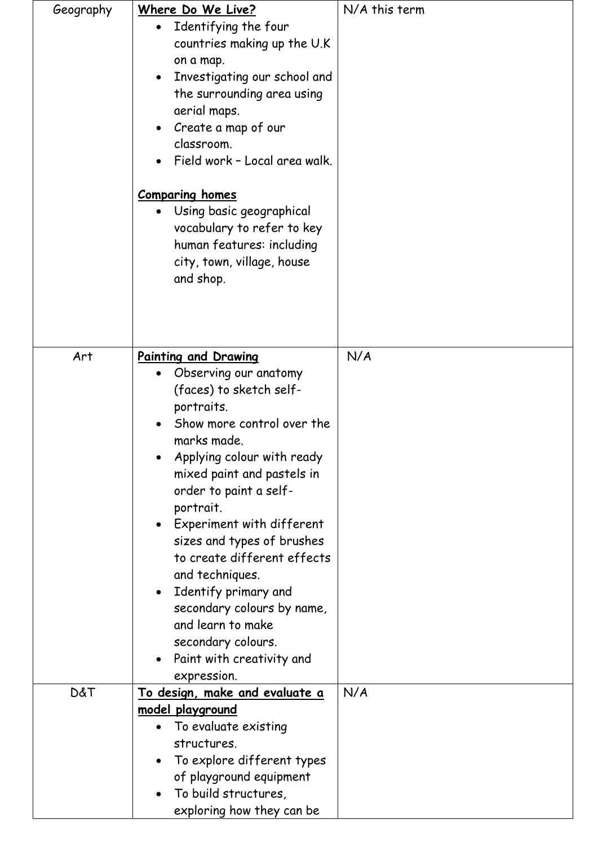| Geography      | Where Do We Live?                         | N/A this term |
|----------------|-------------------------------------------|---------------|
|                | Identifying the four<br>$\bullet$         |               |
|                | countries making up the U.K               |               |
|                | on a map.                                 |               |
|                | Investigating our school and<br>$\bullet$ |               |
|                | the surrounding area using                |               |
|                | aerial maps.                              |               |
|                | • Create a map of our                     |               |
|                | classroom.                                |               |
|                | Field work - Local area walk.             |               |
|                |                                           |               |
|                | <b>Comparing homes</b>                    |               |
|                | Using basic geographical<br>$\bullet$     |               |
|                | vocabulary to refer to key                |               |
|                |                                           |               |
|                | human features: including                 |               |
|                | city, town, village, house                |               |
|                | and shop.                                 |               |
|                |                                           |               |
|                |                                           |               |
|                |                                           |               |
| Art            | Painting and Drawing                      | N/A           |
|                | Observing our anatomy<br>$\bullet$        |               |
|                | (faces) to sketch self-                   |               |
|                | portraits.                                |               |
|                | Show more control over the<br>$\bullet$   |               |
|                | marks made.                               |               |
|                | Applying colour with ready                |               |
|                | mixed paint and pastels in                |               |
|                | order to paint a self-                    |               |
|                | portrait.                                 |               |
|                | Experiment with different<br>$\bullet$    |               |
|                | sizes and types of brushes                |               |
|                | to create different effects               |               |
|                |                                           |               |
|                | and techniques.                           |               |
|                | • Identify primary and                    |               |
|                | secondary colours by name,                |               |
|                | and learn to make                         |               |
|                | secondary colours.                        |               |
|                | Paint with creativity and<br>$\bullet$    |               |
|                | expression.                               |               |
| <b>D&amp;T</b> | <u>To design, make and evaluate a</u>     | N/A           |
|                | model playground                          |               |
|                | To evaluate existing<br>$\bullet$         |               |
|                | structures.                               |               |
|                | To explore different types                |               |
|                | of playground equipment                   |               |
|                | To build structures,                      |               |
|                | exploring how they can be                 |               |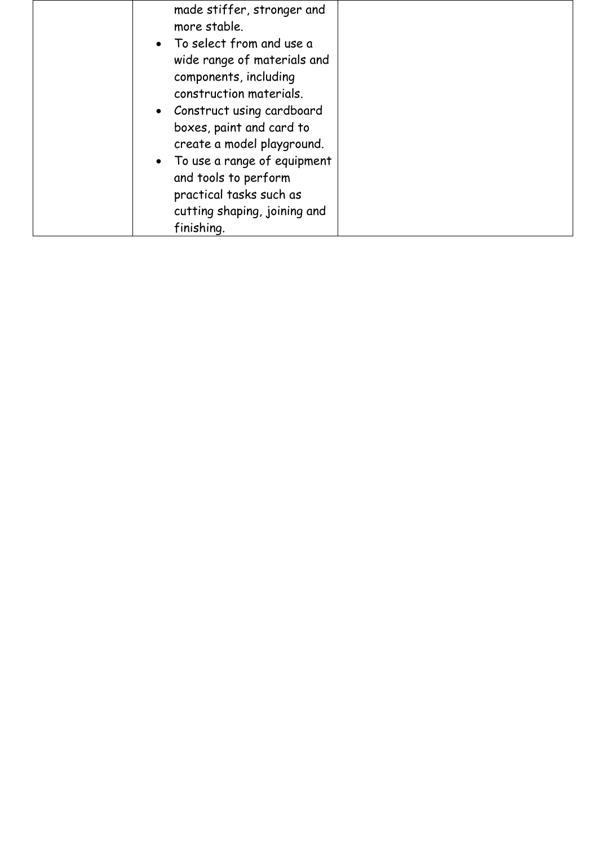| made stiffer, stronger and                                                                                                                                                                                                                                                                                                                 |
|--------------------------------------------------------------------------------------------------------------------------------------------------------------------------------------------------------------------------------------------------------------------------------------------------------------------------------------------|
| more stable.<br>• To select from and use a<br>wide range of materials and<br>components, including<br>construction materials.<br>• Construct using cardboard<br>boxes, paint and card to<br>create a model playground.<br>• To use a range of equipment<br>and tools to perform<br>practical tasks such as<br>cutting shaping, joining and |
| finishing.                                                                                                                                                                                                                                                                                                                                 |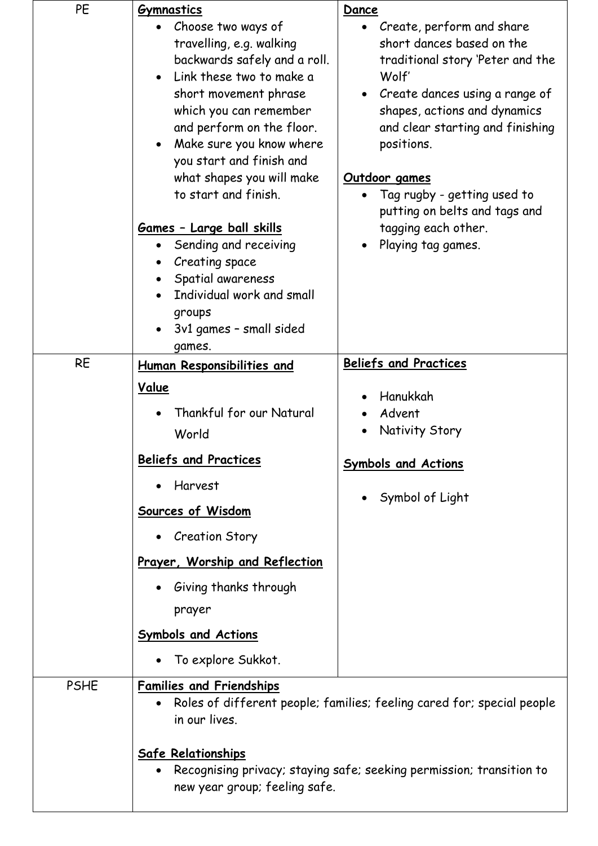| PE          | <b>Gymnastics</b>                                                                                                                                                                                                                                                                                                    | Dance                                                                                                                                                                                                                                                                   |
|-------------|----------------------------------------------------------------------------------------------------------------------------------------------------------------------------------------------------------------------------------------------------------------------------------------------------------------------|-------------------------------------------------------------------------------------------------------------------------------------------------------------------------------------------------------------------------------------------------------------------------|
|             | Choose two ways of<br>travelling, e.g. walking<br>backwards safely and a roll.<br>Link these two to make a<br>short movement phrase<br>which you can remember<br>and perform on the floor.<br>Make sure you know where<br>$\bullet$<br>you start and finish and<br>what shapes you will make<br>to start and finish. | Create, perform and share<br>short dances based on the<br>traditional story 'Peter and the<br>Wolf'<br>Create dances using a range of<br>shapes, actions and dynamics<br>and clear starting and finishing<br>positions.<br>Outdoor games<br>Tag rugby - getting used to |
|             | <u> Games - Large ball skills</u><br>Sending and receiving<br>Creating space<br>Spatial awareness<br>$\bullet$<br>Individual work and small<br>groups<br>3v1 games - small sided<br>games.                                                                                                                           | putting on belts and tags and<br>tagging each other.<br>Playing tag games.                                                                                                                                                                                              |
| <b>RE</b>   | Human Responsibilities and                                                                                                                                                                                                                                                                                           | <b>Beliefs and Practices</b>                                                                                                                                                                                                                                            |
|             | Value<br>Thankful for our Natural<br>World                                                                                                                                                                                                                                                                           | Hanukkah<br>Advent<br>Nativity Story                                                                                                                                                                                                                                    |
|             | <b>Beliefs and Practices</b><br>Harvest<br>Sources of Wisdom<br><b>Creation Story</b>                                                                                                                                                                                                                                | <b>Symbols and Actions</b><br>Symbol of Light                                                                                                                                                                                                                           |
|             | Prayer, Worship and Reflection                                                                                                                                                                                                                                                                                       |                                                                                                                                                                                                                                                                         |
|             | Giving thanks through<br>prayer                                                                                                                                                                                                                                                                                      |                                                                                                                                                                                                                                                                         |
|             | <b>Symbols and Actions</b>                                                                                                                                                                                                                                                                                           |                                                                                                                                                                                                                                                                         |
|             | To explore Sukkot.                                                                                                                                                                                                                                                                                                   |                                                                                                                                                                                                                                                                         |
| <b>PSHE</b> | <b>Families and Friendships</b><br>in our lives.                                                                                                                                                                                                                                                                     | Roles of different people; families; feeling cared for; special people                                                                                                                                                                                                  |
|             | <b>Safe Relationships</b><br>new year group; feeling safe.                                                                                                                                                                                                                                                           | Recognising privacy; staying safe; seeking permission; transition to                                                                                                                                                                                                    |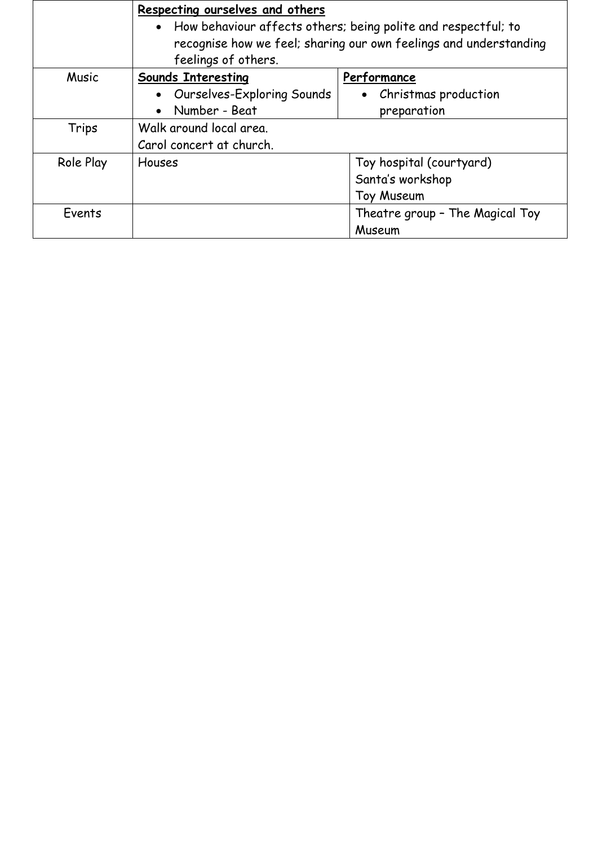|           | Respecting ourselves and others                                   |                                 |
|-----------|-------------------------------------------------------------------|---------------------------------|
|           | • How behaviour affects others; being polite and respectful; to   |                                 |
|           | recognise how we feel; sharing our own feelings and understanding |                                 |
|           | feelings of others.                                               |                                 |
| Music     | <b>Sounds Interesting</b>                                         | Performance                     |
|           | • Ourselves-Exploring Sounds                                      | • Christmas production          |
|           | Number - Beat                                                     | preparation                     |
| Trips     | Walk around local area.                                           |                                 |
|           | Carol concert at church.                                          |                                 |
| Role Play | <b>Houses</b>                                                     | Toy hospital (courtyard)        |
|           |                                                                   | Santa's workshop                |
|           |                                                                   | Toy Museum                      |
| Events    |                                                                   | Theatre group - The Magical Toy |
|           |                                                                   | Museum                          |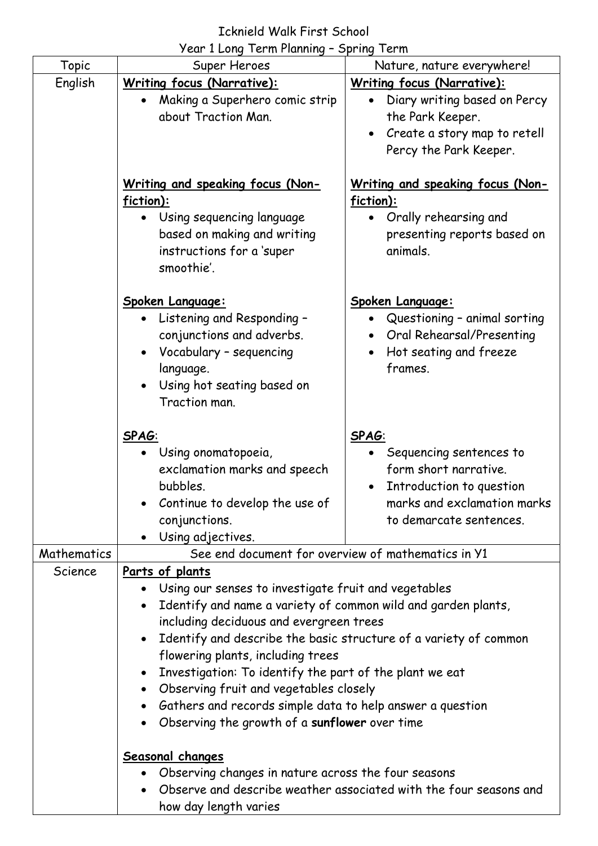# Icknield Walk First School

|             | Year 1 Long Term Planning - Spring Term                                                                                                                                                                                                                                                                                                                                                                                                                                              |                                                                                                                                                              |
|-------------|--------------------------------------------------------------------------------------------------------------------------------------------------------------------------------------------------------------------------------------------------------------------------------------------------------------------------------------------------------------------------------------------------------------------------------------------------------------------------------------|--------------------------------------------------------------------------------------------------------------------------------------------------------------|
| Topic       | Super Heroes                                                                                                                                                                                                                                                                                                                                                                                                                                                                         | Nature, nature everywhere!                                                                                                                                   |
| English     | <b>Writing focus (Narrative):</b><br>Making a Superhero comic strip<br>about Traction Man.                                                                                                                                                                                                                                                                                                                                                                                           | <b>Writing focus (Narrative):</b><br>Diary writing based on Percy<br>$\bullet$<br>the Park Keeper.<br>Create a story map to retell<br>Percy the Park Keeper. |
|             | <u>Writing and speaking focus (Non-</u><br>fiction):<br>Using sequencing language<br>based on making and writing<br>instructions for a 'super<br>smoothie'.                                                                                                                                                                                                                                                                                                                          | <u>Writing and speaking focus (Non-</u><br>fiction):<br>Orally rehearsing and<br>presenting reports based on<br>animals.                                     |
|             | Spoken Language:<br>Listening and Responding -<br>$\bullet$<br>conjunctions and adverbs.<br>Vocabulary - sequencing<br>language.<br>Using hot seating based on<br>Traction man.                                                                                                                                                                                                                                                                                                      | <u> Spoken Language:</u><br>Questioning - animal sorting<br>$\bullet$<br>Oral Rehearsal/Presenting<br>$\bullet$<br>Hot seating and freeze<br>frames.         |
|             | SPAG:<br>Using onomatopoeia,<br>exclamation marks and speech<br>bubbles.<br>Continue to develop the use of<br>conjunctions.<br>Using adjectives.                                                                                                                                                                                                                                                                                                                                     | SPAG:<br>Sequencing sentences to<br>form short narrative.<br>Introduction to question<br>$\bullet$<br>marks and exclamation marks<br>to demarcate sentences. |
| Mathematics | See end document for overview of mathematics in Y1                                                                                                                                                                                                                                                                                                                                                                                                                                   |                                                                                                                                                              |
| Science     | Parts of plants<br>Using our senses to investigate fruit and vegetables<br>Identify and name a variety of common wild and garden plants,<br>$\bullet$<br>including deciduous and evergreen trees<br>flowering plants, including trees<br>Investigation: To identify the part of the plant we eat<br>• Observing fruit and vegetables closely<br>Gathers and records simple data to help answer a question<br>$\bullet$<br>Observing the growth of a sunflower over time<br>$\bullet$ | Identify and describe the basic structure of a variety of common                                                                                             |
|             | Seasonal changes<br>Observing changes in nature across the four seasons<br>how day length varies                                                                                                                                                                                                                                                                                                                                                                                     | Observe and describe weather associated with the four seasons and                                                                                            |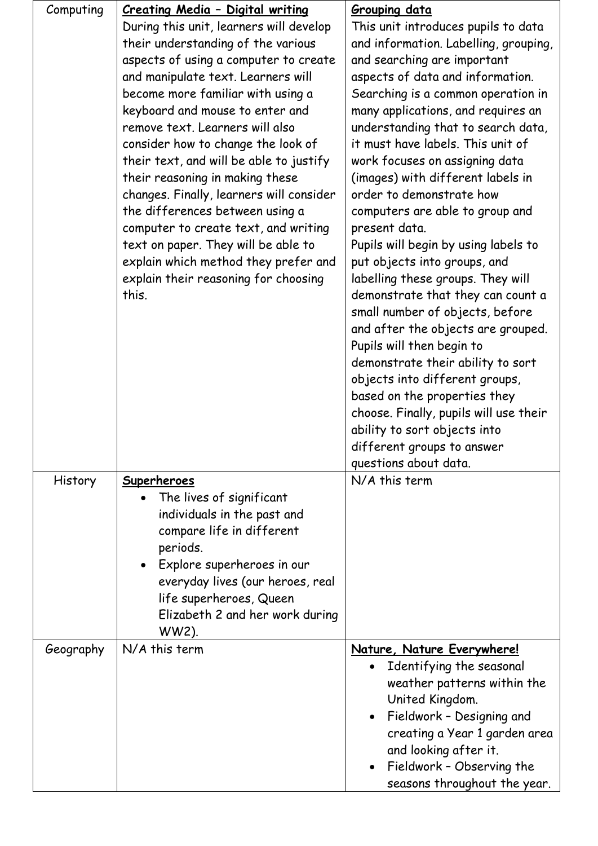| Computing | Creating Media - Digital writing                                        | <b>Grouping data</b>                             |
|-----------|-------------------------------------------------------------------------|--------------------------------------------------|
|           | During this unit, learners will develop                                 | This unit introduces pupils to data              |
|           | their understanding of the various                                      | and information. Labelling, grouping,            |
|           | aspects of using a computer to create                                   | and searching are important                      |
|           | and manipulate text. Learners will                                      | aspects of data and information.                 |
|           | become more familiar with using a                                       | Searching is a common operation in               |
|           | keyboard and mouse to enter and                                         | many applications, and requires an               |
|           | remove text. Learners will also                                         | understanding that to search data,               |
|           | consider how to change the look of                                      | it must have labels. This unit of                |
|           |                                                                         |                                                  |
|           | their text, and will be able to justify                                 | work focuses on assigning data                   |
|           | their reasoning in making these                                         | (images) with different labels in                |
|           | changes. Finally, learners will consider                                | order to demonstrate how                         |
|           | the differences between using a<br>computer to create text, and writing | computers are able to group and<br>present data. |
|           |                                                                         | Pupils will begin by using labels to             |
|           | text on paper. They will be able to                                     |                                                  |
|           | explain which method they prefer and                                    | put objects into groups, and                     |
|           | explain their reasoning for choosing<br>this.                           | labelling these groups. They will                |
|           |                                                                         | demonstrate that they can count a                |
|           |                                                                         | small number of objects, before                  |
|           |                                                                         | and after the objects are grouped.               |
|           |                                                                         | Pupils will then begin to                        |
|           |                                                                         | demonstrate their ability to sort                |
|           |                                                                         | objects into different groups,                   |
|           |                                                                         | based on the properties they                     |
|           |                                                                         | choose. Finally, pupils will use their           |
|           |                                                                         | ability to sort objects into                     |
|           |                                                                         | different groups to answer                       |
|           |                                                                         | questions about data.                            |
| History   | Superheroes                                                             | N/A this term                                    |
|           | The lives of significant                                                |                                                  |
|           | individuals in the past and                                             |                                                  |
|           | compare life in different                                               |                                                  |
|           | periods.                                                                |                                                  |
|           | • Explore superheroes in our                                            |                                                  |
|           | everyday lives (our heroes, real                                        |                                                  |
|           | life superheroes, Queen                                                 |                                                  |
|           | Elizabeth 2 and her work during                                         |                                                  |
|           | WW2).                                                                   |                                                  |
| Geography | N/A this term                                                           | Nature, Nature Everywhere!                       |
|           |                                                                         | Identifying the seasonal                         |
|           |                                                                         | weather patterns within the                      |
|           |                                                                         | United Kingdom.                                  |
|           |                                                                         | Fieldwork - Designing and                        |
|           |                                                                         | creating a Year 1 garden area                    |
|           |                                                                         | and looking after it.                            |
|           |                                                                         | Fieldwork - Observing the                        |
|           |                                                                         | seasons throughout the year.                     |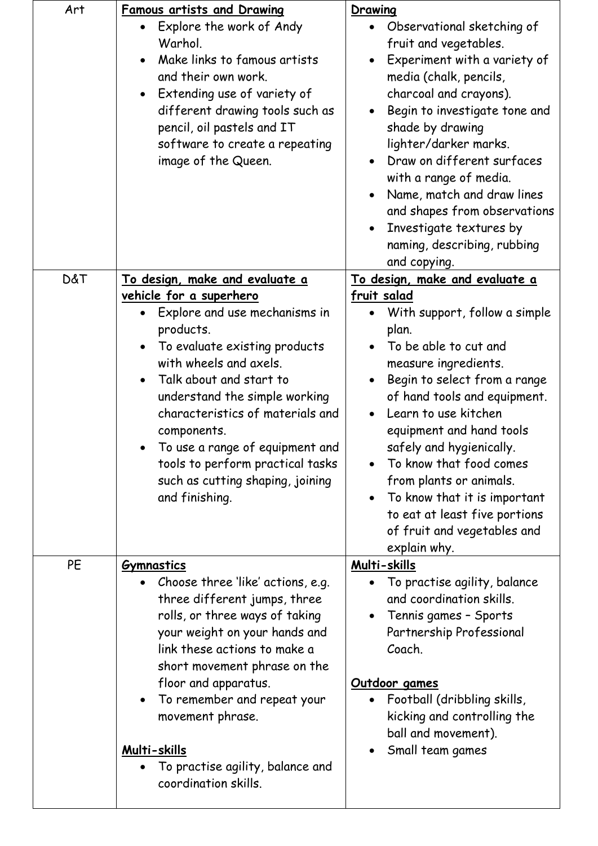| Art            | <u>Famous artists and Drawing</u>                                                                                                                                                                                                                                                                                                                                                                                                         | Drawing                                                                                                                                                                                                                                                                                                                                                                                                                                                               |
|----------------|-------------------------------------------------------------------------------------------------------------------------------------------------------------------------------------------------------------------------------------------------------------------------------------------------------------------------------------------------------------------------------------------------------------------------------------------|-----------------------------------------------------------------------------------------------------------------------------------------------------------------------------------------------------------------------------------------------------------------------------------------------------------------------------------------------------------------------------------------------------------------------------------------------------------------------|
|                | Explore the work of Andy<br>$\bullet$<br>Warhol.<br>Make links to famous artists<br>and their own work.<br>Extending use of variety of<br>$\bullet$<br>different drawing tools such as<br>pencil, oil pastels and IT<br>software to create a repeating<br>image of the Queen.                                                                                                                                                             | Observational sketching of<br>fruit and vegetables.<br>Experiment with a variety of<br>media (chalk, pencils,<br>charcoal and crayons).<br>Begin to investigate tone and<br>shade by drawing<br>lighter/darker marks.<br>Draw on different surfaces<br>with a range of media.<br>Name, match and draw lines<br>and shapes from observations<br>Investigate textures by<br>naming, describing, rubbing<br>and copying.                                                 |
| <b>D&amp;T</b> | <u>To design, make and evaluate a</u><br><u>vehicle for a superhero</u><br>Explore and use mechanisms in<br>products.<br>To evaluate existing products<br>$\bullet$<br>with wheels and axels.<br>Talk about and start to<br>understand the simple working<br>characteristics of materials and<br>components.<br>To use a range of equipment and<br>tools to perform practical tasks<br>such as cutting shaping, joining<br>and finishing. | <u>To design, make and evaluate a</u><br>fruit salad<br>With support, follow a simple<br>plan.<br>To be able to cut and<br>measure ingredients.<br>Begin to select from a range<br>of hand tools and equipment.<br>Learn to use kitchen<br>equipment and hand tools<br>safely and hygienically.<br>To know that food comes<br>from plants or animals.<br>To know that it is important<br>to eat at least five portions<br>of fruit and vegetables and<br>explain why. |
| PE             | <b><i>Gymnastics</i></b><br>Choose three 'like' actions, e.g.<br>$\bullet$<br>three different jumps, three<br>rolls, or three ways of taking<br>your weight on your hands and<br>link these actions to make a<br>short movement phrase on the<br>floor and apparatus.<br>To remember and repeat your<br>movement phrase.<br>Multi-skills<br>To practise agility, balance and<br>coordination skills.                                      | Multi-skills<br>To practise agility, balance<br>$\bullet$<br>and coordination skills.<br>Tennis games - Sports<br>Partnership Professional<br>Coach.<br>Outdoor games<br>Football (dribbling skills,<br>kicking and controlling the<br>ball and movement).<br>Small team games                                                                                                                                                                                        |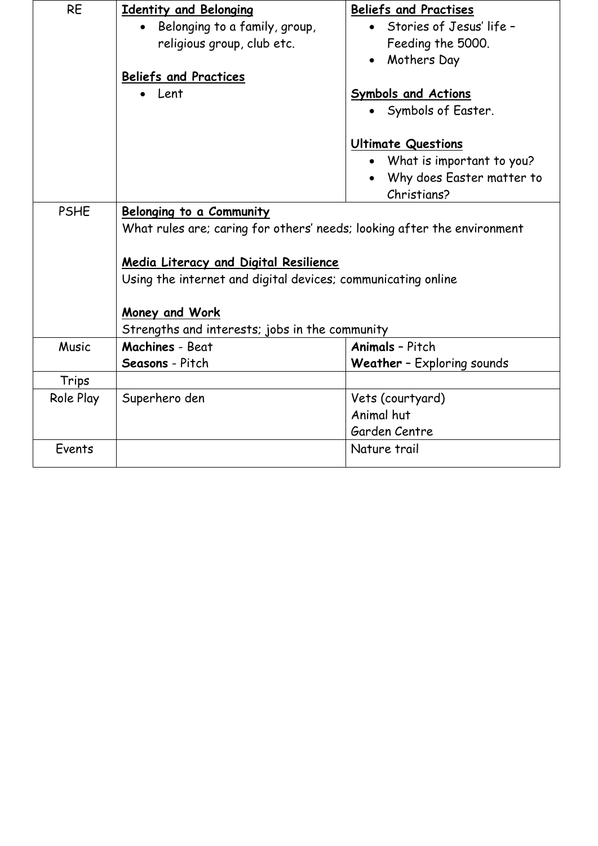| <b>RE</b>   | <b>Identity and Belonging</b>                                           | <b>Beliefs and Practises</b>      |
|-------------|-------------------------------------------------------------------------|-----------------------------------|
|             | Belonging to a family, group,                                           | • Stories of Jesus' life -        |
|             | religious group, club etc.                                              | Feeding the 5000.                 |
|             |                                                                         | Mothers Day                       |
|             | <b>Beliefs and Practices</b>                                            |                                   |
|             | $\bullet$ Lent                                                          | <b>Symbols and Actions</b>        |
|             |                                                                         | • Symbols of Easter.              |
|             |                                                                         | <b>Ultimate Questions</b>         |
|             |                                                                         | What is important to you?         |
|             |                                                                         | Why does Easter matter to         |
|             |                                                                         | Christians?                       |
| <b>PSHE</b> | Belonging to a Community                                                |                                   |
|             | What rules are; caring for others' needs; looking after the environment |                                   |
|             |                                                                         |                                   |
|             | Media Literacy and Digital Resilience                                   |                                   |
|             | Using the internet and digital devices; communicating online            |                                   |
|             |                                                                         |                                   |
|             | Money and Work                                                          |                                   |
|             | Strengths and interests; jobs in the community                          |                                   |
| Music       | <b>Machines - Beat</b>                                                  | <b>Animals</b> - Pitch            |
|             | <b>Seasons</b> - Pitch                                                  | <b>Weather</b> - Exploring sounds |
| Trips       |                                                                         |                                   |
| Role Play   | Superhero den                                                           | Vets (courtyard)                  |
|             |                                                                         | Animal hut                        |
|             |                                                                         | Garden Centre                     |
| Events      |                                                                         | Nature trail                      |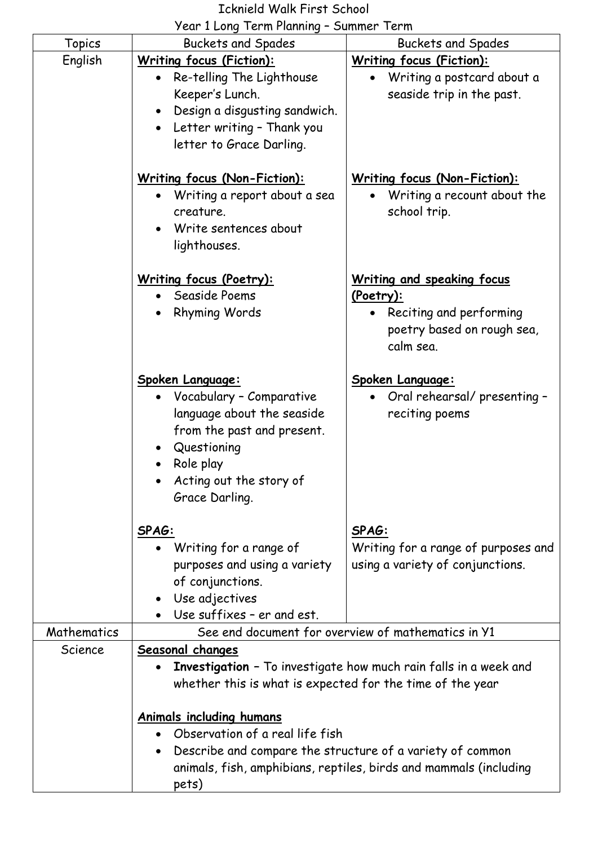# Icknield Walk First School

## Year 1 Long Term Planning – Summer Term

|               | $7$ can $\pm$ Lung T chin rainming                                                                                                                                                      | "                                                                                                                      |
|---------------|-----------------------------------------------------------------------------------------------------------------------------------------------------------------------------------------|------------------------------------------------------------------------------------------------------------------------|
| <b>Topics</b> | <b>Buckets and Spades</b>                                                                                                                                                               | <b>Buckets and Spades</b>                                                                                              |
| English       | <b>Writing focus (Fiction):</b><br>Re-telling The Lighthouse<br>Keeper's Lunch.<br>Design a disgusting sandwich.<br>Letter writing - Thank you<br>$\bullet$<br>letter to Grace Darling. | <b>Writing focus (Fiction):</b><br>Writing a postcard about a<br>seaside trip in the past.                             |
|               | <u>Writing focus (Non-Fiction):</u><br>Writing a report about a sea<br>creature.<br>Write sentences about<br>lighthouses.                                                               | <u>Writing focus (Non-Fiction):</u><br>Writing a recount about the<br>school trip.                                     |
|               | <b>Writing focus (Poetry):</b><br>• Seaside Poems<br><b>Rhyming Words</b>                                                                                                               | <b>Writing and speaking focus</b><br>(Poetry):<br>• Reciting and performing<br>poetry based on rough sea,<br>calm sea. |
|               | Spoken Language:<br>• Vocabulary - Comparative<br>language about the seaside<br>from the past and present.<br>Questioning<br>Role play<br>Acting out the story of<br>Grace Darling.     | Spoken Language:<br>• Oral rehearsal/presenting -<br>reciting poems                                                    |
|               | SPAG:<br>Writing for a range of<br>purposes and using a variety<br>of conjunctions.<br>Use adjectives<br>Use suffixes - er and est.                                                     | SPAG:<br>Writing for a range of purposes and<br>using a variety of conjunctions.                                       |
| Mathematics   |                                                                                                                                                                                         | See end document for overview of mathematics in Y1                                                                     |
| Science       | Seasonal changes<br>whether this is what is expected for the time of the year                                                                                                           | <b>Investigation</b> - To investigate how much rain falls in a week and                                                |
|               | <b>Animals including humans</b><br>Observation of a real life fish<br>Describe and compare the structure of a variety of common<br>pets)                                                | animals, fish, amphibians, reptiles, birds and mammals (including                                                      |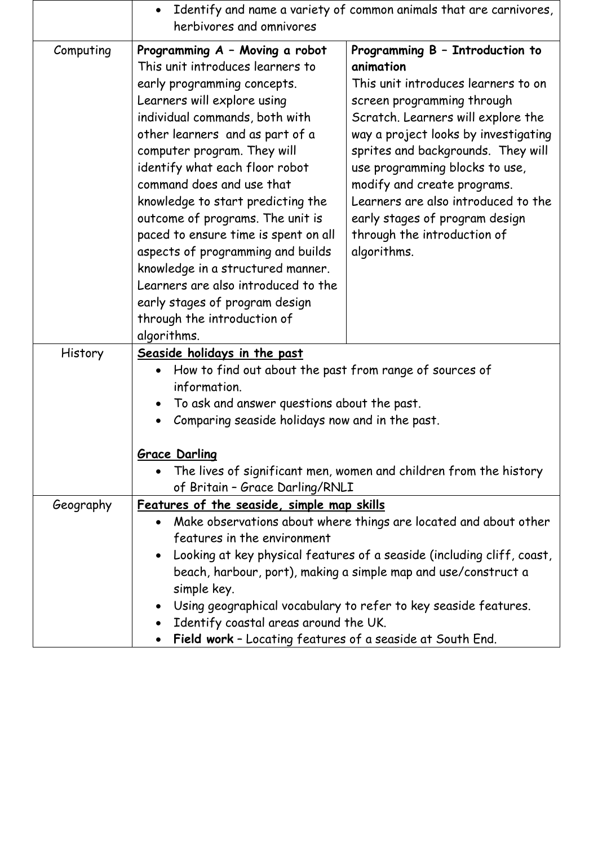|                | Identify and name a variety of common animals that are carnivores,<br>$\bullet$<br>herbivores and omnivores                                                                                                                                                                                                                                                                                                                                                                                                                                                                                                                                                                                                                                                                                                                                                                                                                                                                                                                                            |  |
|----------------|--------------------------------------------------------------------------------------------------------------------------------------------------------------------------------------------------------------------------------------------------------------------------------------------------------------------------------------------------------------------------------------------------------------------------------------------------------------------------------------------------------------------------------------------------------------------------------------------------------------------------------------------------------------------------------------------------------------------------------------------------------------------------------------------------------------------------------------------------------------------------------------------------------------------------------------------------------------------------------------------------------------------------------------------------------|--|
| Computing      | Programming B - Introduction to<br>Programming A - Moving a robot<br>This unit introduces learners to<br>animation<br>This unit introduces learners to on<br>early programming concepts.<br>Learners will explore using<br>screen programming through<br>individual commands, both with<br>Scratch. Learners will explore the<br>other learners and as part of a<br>way a project looks by investigating<br>computer program. They will<br>sprites and backgrounds. They will<br>identify what each floor robot<br>use programming blocks to use,<br>command does and use that<br>modify and create programs.<br>Learners are also introduced to the<br>knowledge to start predicting the<br>outcome of programs. The unit is<br>early stages of program design<br>paced to ensure time is spent on all<br>through the introduction of<br>aspects of programming and builds<br>algorithms.<br>knowledge in a structured manner.<br>Learners are also introduced to the<br>early stages of program design<br>through the introduction of<br>algorithms. |  |
| <b>History</b> | Seaside holidays in the past<br>How to find out about the past from range of sources of<br>information.<br>To ask and answer questions about the past.<br>Comparing seaside holidays now and in the past.<br><b>Grace Darling</b><br>The lives of significant men, women and children from the history<br>of Britain - Grace Darling/RNLI                                                                                                                                                                                                                                                                                                                                                                                                                                                                                                                                                                                                                                                                                                              |  |
| Geography      | Features of the seaside, simple map skills<br>Make observations about where things are located and about other<br>features in the environment<br>Looking at key physical features of a seaside (including cliff, coast,<br>beach, harbour, port), making a simple map and use/construct a<br>simple key.<br>Using geographical vocabulary to refer to key seaside features.<br>Identify coastal areas around the UK.<br>Field work - Locating features of a seaside at South End.                                                                                                                                                                                                                                                                                                                                                                                                                                                                                                                                                                      |  |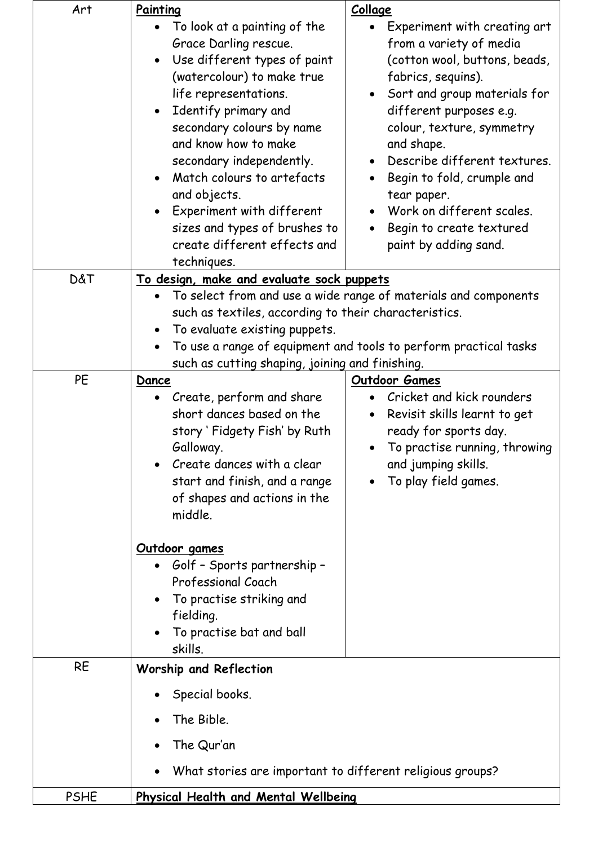| Art         | Painting                                                  | <b>Collage</b>                                                   |
|-------------|-----------------------------------------------------------|------------------------------------------------------------------|
|             | To look at a painting of the                              | Experiment with creating art                                     |
|             | Grace Darling rescue.                                     | from a variety of media                                          |
|             | Use different types of paint                              | (cotton wool, buttons, beads,                                    |
|             | (watercolour) to make true                                | fabrics, sequins).                                               |
|             | life representations.                                     | Sort and group materials for                                     |
|             | Identify primary and<br>$\bullet$                         | different purposes e.g.                                          |
|             | secondary colours by name                                 | colour, texture, symmetry                                        |
|             | and know how to make                                      | and shape.                                                       |
|             | secondary independently.                                  | Describe different textures.                                     |
|             | Match colours to artefacts<br>$\bullet$                   | Begin to fold, crumple and<br>$\bullet$                          |
|             | and objects.                                              | tear paper.                                                      |
|             | Experiment with different<br>$\bullet$                    | Work on different scales.                                        |
|             | sizes and types of brushes to                             | Begin to create textured                                         |
|             | create different effects and                              | paint by adding sand.                                            |
|             | techniques.                                               |                                                                  |
| D&T         | <u>To design, make and evaluate sock puppets</u>          |                                                                  |
|             | $\bullet$                                                 | To select from and use a wide range of materials and components  |
|             | such as textiles, according to their characteristics.     |                                                                  |
|             | To evaluate existing puppets.                             |                                                                  |
|             |                                                           | To use a range of equipment and tools to perform practical tasks |
|             | such as cutting shaping, joining and finishing.           |                                                                  |
| PE          | Outdoor Games<br><b>Dance</b>                             |                                                                  |
|             | Create, perform and share                                 | Cricket and kick rounders                                        |
|             | short dances based on the                                 | Revisit skills learnt to get                                     |
|             | story 'Fidgety Fish' by Ruth                              | ready for sports day.                                            |
|             | Galloway.                                                 | • To practise running, throwing                                  |
|             | Create dances with a clear                                | and jumping skills.                                              |
|             | start and finish, and a range                             | To play field games.                                             |
|             | of shapes and actions in the                              |                                                                  |
|             | middle.                                                   |                                                                  |
|             |                                                           |                                                                  |
|             | Outdoor games                                             |                                                                  |
|             | • Golf - Sports partnership -                             |                                                                  |
|             | Professional Coach                                        |                                                                  |
|             | To practise striking and                                  |                                                                  |
|             | fielding.                                                 |                                                                  |
|             | To practise bat and ball                                  |                                                                  |
|             | skills.                                                   |                                                                  |
| <b>RE</b>   | <b>Worship and Reflection</b>                             |                                                                  |
|             |                                                           |                                                                  |
|             | Special books.                                            |                                                                  |
|             | The Bible.                                                |                                                                  |
|             | The Qur'an                                                |                                                                  |
|             | What stories are important to different religious groups? |                                                                  |
| <b>PSHE</b> | Physical Health and Mental Wellbeing                      |                                                                  |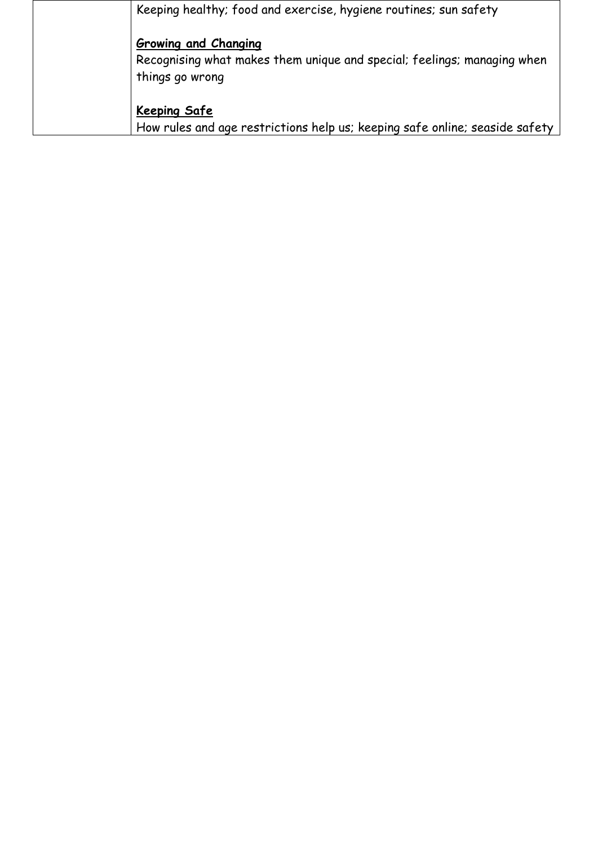| Keeping healthy; food and exercise, hygiene routines; sun safety                                                          |
|---------------------------------------------------------------------------------------------------------------------------|
| <b>Growing and Changing</b><br>Recognising what makes them unique and special; feelings; managing when<br>things go wrong |
| <b>Keeping Safe</b><br>How rules and age restrictions help us; keeping safe online; seaside safety                        |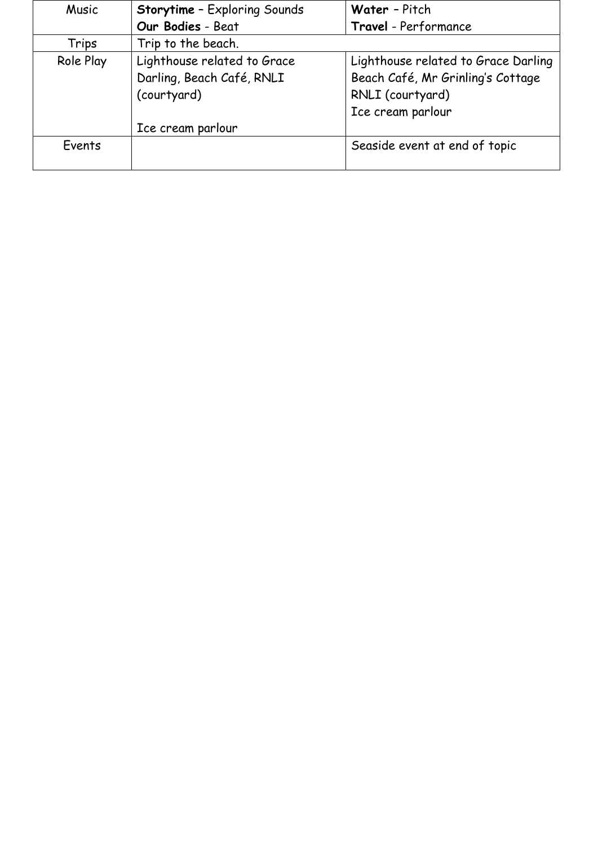| <b>Music</b> | <b>Storytime - Exploring Sounds</b> | Water - Pitch                       |
|--------------|-------------------------------------|-------------------------------------|
|              | Our Bodies - Beat                   | Travel - Performance                |
| Trips        | Trip to the beach.                  |                                     |
| Role Play    | Lighthouse related to Grace         | Lighthouse related to Grace Darling |
|              | Darling, Beach Café, RNLI           | Beach Café, Mr Grinling's Cottage   |
|              | (courtyard)                         | RNLI (courtyard)                    |
|              |                                     | Ice cream parlour                   |
|              | Ice cream parlour                   |                                     |
| Events       |                                     | Seaside event at end of topic       |
|              |                                     |                                     |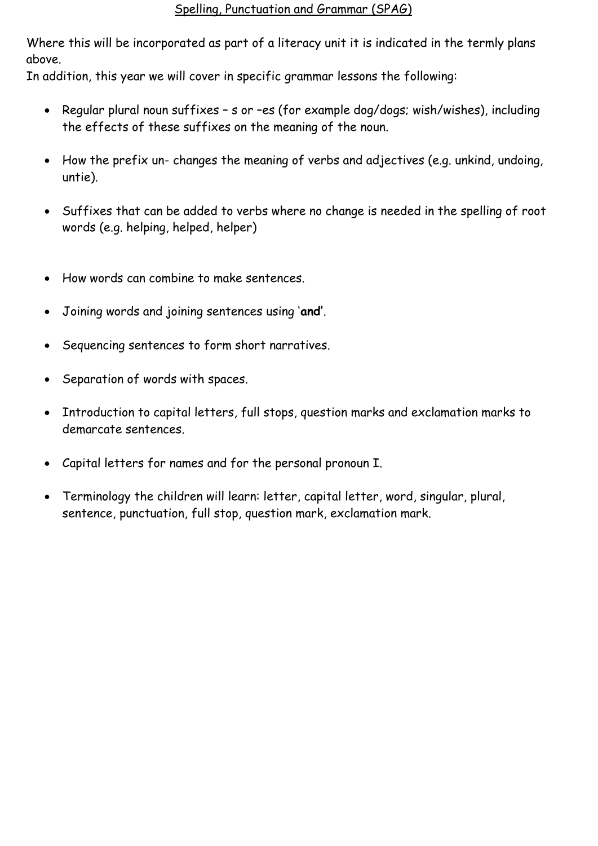#### Spelling, Punctuation and Grammar (SPAG)

Where this will be incorporated as part of a literacy unit it is indicated in the termly plans above.

In addition, this year we will cover in specific grammar lessons the following:

- Regular plural noun suffixes s or -es (for example dog/dogs; wish/wishes), including the effects of these suffixes on the meaning of the noun.
- How the prefix un- changes the meaning of verbs and adjectives (e.g. unkind, undoing, untie).
- Suffixes that can be added to verbs where no change is needed in the spelling of root words (e.g. helping, helped, helper)
- How words can combine to make sentences.
- Joining words and joining sentences using '**and'**.
- Sequencing sentences to form short narratives.
- Separation of words with spaces.
- Introduction to capital letters, full stops, question marks and exclamation marks to demarcate sentences.
- Capital letters for names and for the personal pronoun I.
- Terminology the children will learn: letter, capital letter, word, singular, plural, sentence, punctuation, full stop, question mark, exclamation mark.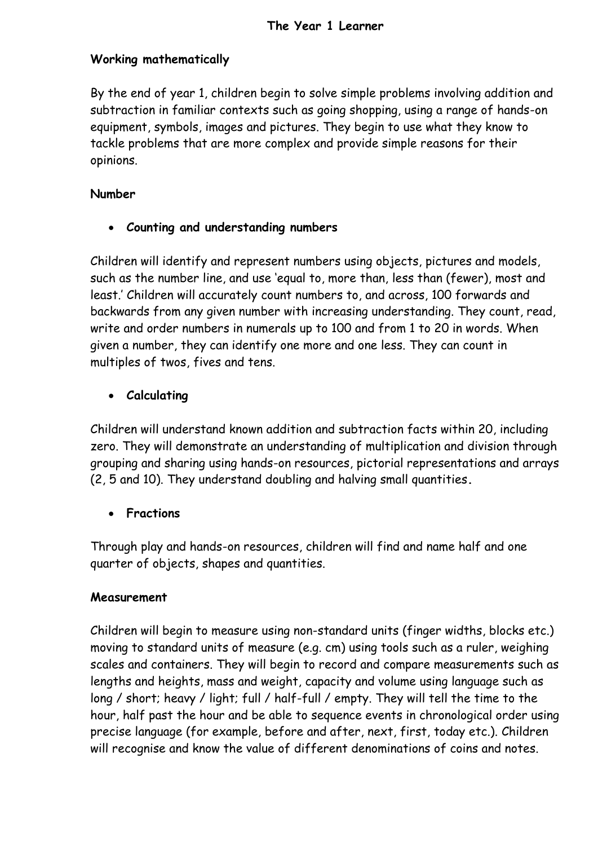#### **Working mathematically**

By the end of year 1, children begin to solve simple problems involving addition and subtraction in familiar contexts such as going shopping, using a range of hands-on equipment, symbols, images and pictures. They begin to use what they know to tackle problems that are more complex and provide simple reasons for their opinions.

#### **Number**

**Counting and understanding numbers**

Children will identify and represent numbers using objects, pictures and models, such as the number line, and use 'equal to, more than, less than (fewer), most and least.' Children will accurately count numbers to, and across, 100 forwards and backwards from any given number with increasing understanding. They count, read, write and order numbers in numerals up to 100 and from 1 to 20 in words. When given a number, they can identify one more and one less. They can count in multiples of twos, fives and tens.

#### **Calculating**

Children will understand known addition and subtraction facts within 20, including zero. They will demonstrate an understanding of multiplication and division through grouping and sharing using hands-on resources, pictorial representations and arrays (2, 5 and 10). They understand doubling and halving small quantities**.**

#### **Fractions**

Through play and hands-on resources, children will find and name half and one quarter of objects, shapes and quantities.

#### **Measurement**

Children will begin to measure using non-standard units (finger widths, blocks etc.) moving to standard units of measure (e.g. cm) using tools such as a ruler, weighing scales and containers. They will begin to record and compare measurements such as lengths and heights, mass and weight, capacity and volume using language such as long / short; heavy / light; full / half-full / empty. They will tell the time to the hour, half past the hour and be able to sequence events in chronological order using precise language (for example, before and after, next, first, today etc.). Children will recognise and know the value of different denominations of coins and notes.